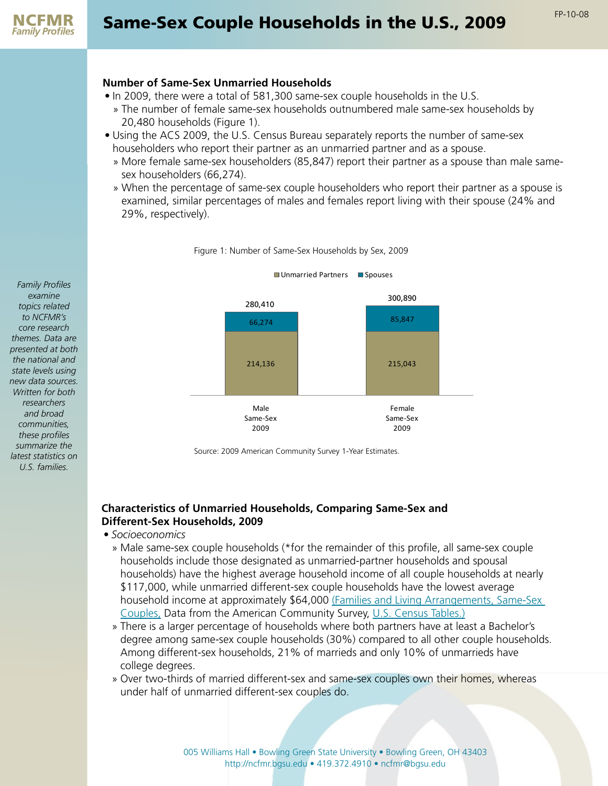

#### **Number of Same-Sex Unmarried Households**

- In 2009, there were a total of 581,300 same-sex couple households in the U.S.
	- » The number of female same-sex households outnumbered male same-sex households by 20,480 households (Figure 1).
- Using the ACS 2009, the U.S. Census Bureau separately reports the number of same-sex householders who report their partner as an unmarried partner and as a spouse.
	- » More female same-sex householders (85,847) report their partner as a spouse than male samesex householders (66,274).
	- » When the percentage of same-sex couple householders who report their partner as a spouse is examined, similar percentages of males and females report living with their spouse (24% and 29%, respectively).





Source: 2009 American Community Survey 1-Year Estimates.

### **Characteristics of Unmarried Households, Comparing Same-Sex and Different-Sex Households, 2009**

- *• Socioeconomics*
	- » Male same-sex couple households (\*for the remainder of this profile, all same-sex couple households include those designated as unmarried-partner households and spousal households) have the highest average household income of all couple households at nearly \$117,000, while unmarried different-sex couple households have the lowest average household income at approximately \$64,000 (Families and Living Arrangements, Same-Sex [Couples,](http://www.census.gov/population/www/socdemo/hh-fam.html) Data from the American Community Survey, [U.S. Census Tables.\)](http://www.census.gov/population/www/socdemo/hh-fam.html)
	- » There is a larger percentage of households where both partners have at least a Bachelor's degree among same-sex couple households (30%) compared to all other couple households. Among different-sex households, 21% of marrieds and only 10% of unmarrieds have college degrees.
	- » Over two-thirds of married different-sex and same-sex couples own their homes, whereas under half of unmarried different-sex couples do.

*Family Profiles examine topics related to NCFMR's core research themes. Data are presented at both the national and state levels using new data sources. Written for both researchers and broad communities, these profiles summarize the latest statistics on U.S. families.*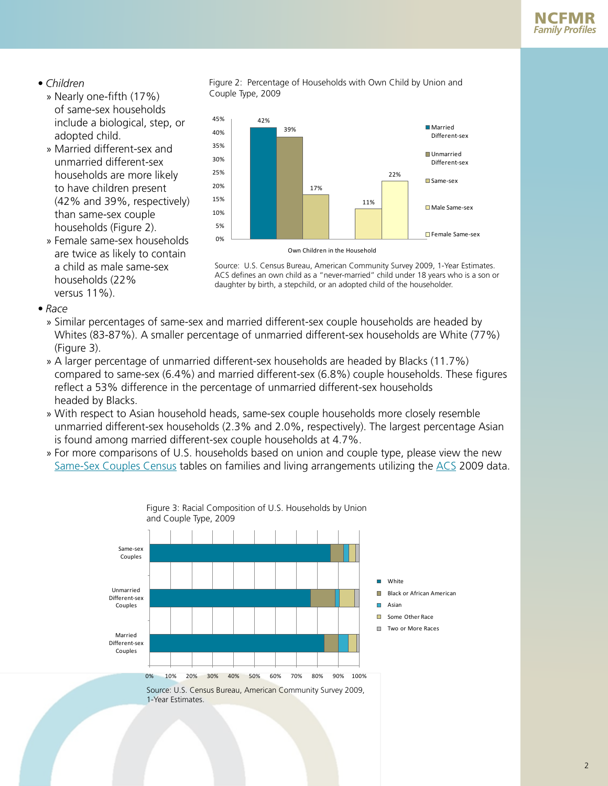# *• Children*

- » Nearly one-fifth (17%) of same-sex households include a biological, step, or adopted child.
- » Married different-sex and unmarried different-sex households are more likely to have children present (42% and 39%, respectively) than same-sex couple households (Figure 2).
- » Female same-sex households are twice as likely to contain a child as male same-sex households (22% versus 11%).





Source: U.S. Census Bureau, American Community Survey 2009, 1-Year Estimates. ACS defines an own child as a "never-married" child under 18 years who is a son or daughter by birth, a stepchild, or an adopted child of the householder.

- *• Race*
	- » Similar percentages of same-sex and married different-sex couple households are headed by Whites (83-87%). A smaller percentage of unmarried different-sex households are White (77%) (Figure 3).
	- » A larger percentage of unmarried different-sex households are headed by Blacks (11.7%) compared to same-sex (6.4%) and married different-sex (6.8%) couple households. These figures reflect a 53% difference in the percentage of unmarried different-sex households headed by Blacks.
	- » With respect to Asian household heads, same-sex couple households more closely resemble unmarried different-sex households (2.3% and 2.0%, respectively). The largest percentage Asian is found among married different-sex couple households at 4.7%.
	- » For more comparisons of U.S. households based on union and couple type, please view the new [Same-Sex Couples Census](http://www.census.gov/population/www/socdemo/files/ssex-tables-2009.xls) tables on [families and living arrangements](http://www.census.gov/population/www/socdemo/files/ssex-tables-2009.xls) utilizing the [ACS](http://www.census.gov/acs/www/) 2009 data.

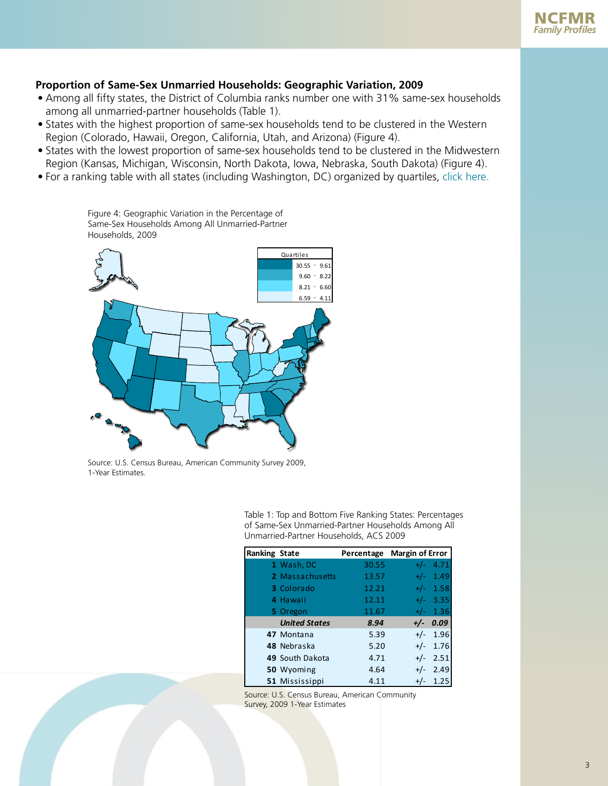### <span id="page-2-0"></span>**Proportion of Same-Sex Unmarried Households: Geographic Variation, 2009**

- Among all fifty states, the District of Columbia ranks number one with 31% same-sex households among all unmarried-partner households (Table 1).
- States with the highest proportion of same-sex households tend to be clustered in the Western Region (Colorado, Hawaii, Oregon, California, Utah, and Arizona) (Figure 4).
- States with the lowest proportion of same-sex households tend to be clustered in the Midwestern Region (Kansas, Michigan, Wisconsin, North Dakota, Iowa, Nebraska, South Dakota) (Figure 4).
- For a ranking table with all states (including Washington, DC) organized by quartiles, [click here.](#page-5-0)

Households, 2009 30.55 - 9.61 9.60 - 8.22  $8.21 - 6.60$  $6.59 - 4.11$ Quartiles

Figure 4: Geographic Variation in the Percentage of Same-Sex Households Among All Unmarried-Partner

Source: U.S. Census Bureau, American Community Survey 2009, 1-Year Estimates.

Table 1: Top and Bottom Five Ranking States: Percentages of Same-Sex Unmarried-Partner Households Among All Unmarried-Partner Households, ACS 2009

| <b>Ranking State</b> |                      | Percentage | <b>Margin of Error</b> |
|----------------------|----------------------|------------|------------------------|
|                      | 1 Wash, DC           | 30.55      | 4.71<br>$+/-$          |
|                      | 2 Massachusetts      | 13.57      | 1.49<br>$+/-$          |
|                      | 3 Colorado           | 12.21      | 1.58<br>$+/-$          |
|                      | 4 Hawaii             | 12.11      | 3.35<br>$+/-$          |
|                      | 5 Oregon             | 11.67      | 1.36<br>$+/-$          |
|                      | <b>United States</b> | 8.94       | 0.09<br>$+/-$          |
|                      | 47 Montana           | 5.39       | $+/-$ 1.96             |
|                      | 48 Nebraska          | 5.20       | $+/-$ 1.76             |
|                      | 49 South Dakota      | 4.71       | 2.51<br>$+/-$          |
|                      | 50 Wyoming           | 4.64       | 2.49<br>$+/-$          |
|                      | 51 Mississippi       | 4.11       | 1.25<br>$+/-$          |

Source: U.S. Census Bureau, American Community Survey, 2009 1-Year Estimates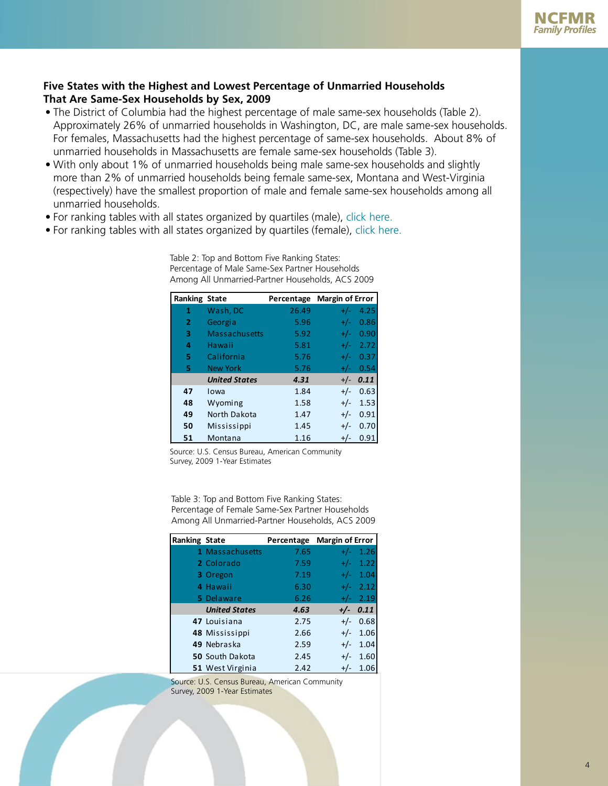## <span id="page-3-0"></span>**Five States with the Highest and Lowest Percentage of Unmarried Households That Are Same-Sex Households by Sex, 2009**

- The District of Columbia had the highest percentage of male same-sex households (Table 2). Approximately 26% of unmarried households in Washington, DC, are male same-sex households. For females, Massachusetts had the highest percentage of same-sex households. About 8% of unmarried households in Massachusetts are female same-sex households (Table 3).
- With only about 1% of unmarried households being male same-sex households and slightly more than 2% of unmarried households being female same-sex, Montana and West-Virginia (respectively) have the smallest proportion of male and female same-sex households among all unmarried households.
- For ranking tables with all states organized by quartiles (male), [click here.](#page-6-0)
- For ranking tables with all states organized by quartiles (female), [click here.](#page-7-0)

| <b>Ranking State</b> |                      | Percentage | <b>Margin of Error</b> |
|----------------------|----------------------|------------|------------------------|
|                      |                      |            |                        |
| 1                    | Wash, DC             | 26.49      | 4.25<br>$+/-$          |
| $\overline{2}$       | Georgia              | 5.96       | 0.86<br>$+/-$          |
| з                    | Massachusetts        | 5.92       | 0.90<br>$+/-$          |
| 4                    | Hawaii               | 5.81       | 2.72<br>$+/-$          |
| 5                    | California           | 5.76       | 0.37<br>$+/-$          |
| 5                    | <b>New York</b>      | 5.76       | 0.54<br>$+/-$          |
|                      | <b>United States</b> | 4.31       | 0.11<br>$+/-$          |
| 47                   | Iowa                 | 1.84       | 0.63<br>$+/-$          |
| 48                   | Wyoming              | 1.58       | 1.53<br>$+/-$          |
| 49                   | North Dakota         | 1.47       | 0.91<br>$+/-$          |
| 50                   | Mississippi          | 1.45       | 0.70<br>$+/-$          |
| 51                   | Montana              | 1.16       | 0.91<br>$+/-$          |

Table 2: Top and Bottom Five Ranking States: Percentage of Male Same-Sex Partner Households Among All Unmarried-Partner Households, ACS 2009

Source: U.S. Census Bureau, American Community Survey, 2009 1-Year Estimates

Table 3: Top and Bottom Five Ranking States: Percentage of Female Same-Sex Partner Households Among All Unmarried-Partner Households, ACS 2009

| <b>Ranking State</b> |                        | Percentage Margin of Error |       |            |
|----------------------|------------------------|----------------------------|-------|------------|
|                      | 1 Massachusetts        | 7.65                       | $+/-$ | 1.26       |
|                      | 2 Colorado             | 7.59                       | $+/-$ | 1.22       |
|                      | 3 Oregon               | 7.19                       | $+/-$ | 1.04       |
|                      | 4 Hawaii               | 6.30                       |       | $+/-$ 2.12 |
|                      | 5 Delaware             | 6.26                       |       | $+/-$ 2.19 |
|                      | <b>United States</b>   | 4.63                       |       | $+/-$ 0.11 |
|                      | 47 Louisiana           | 2.75                       |       | $+/-$ 0.68 |
|                      | 48 Mississippi         | 2.66                       |       | $+/-$ 1.06 |
|                      | 49 Nebraska            | 2.59                       | $+/-$ | 1.04       |
|                      | <b>50 South Dakota</b> | 2.45                       | $+/-$ | 1.60       |
|                      | 51 West Virginia       | 2.42                       | $+/-$ | 1.06       |

Source: U.S. Census Bureau, American Community Survey, 2009 1-Year Estimates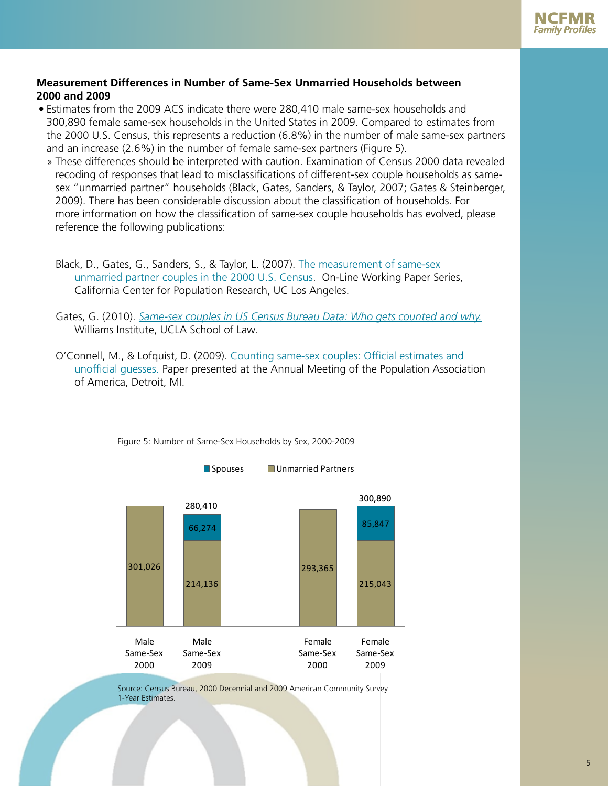

#### **Measurement Differences in Number of Same-Sex Unmarried Households between 2000 and 2009**

- Estimates from the 2009 ACS indicate there were 280,410 male same-sex households and 300,890 female same-sex households in the United States in 2009. Compared to estimates from the 2000 U.S. Census, this represents a reduction (6.8%) in the number of male same-sex partners and an increase (2.6%) in the number of female same-sex partners (Figure 5).
	- » These differences should be interpreted with caution. Examination of Census 2000 data revealed recoding of responses that lead to misclassifications of different-sex couple households as samesex "unmarried partner" households (Black, Gates, Sanders, & Taylor, 2007; Gates & Steinberger, 2009). There has been considerable discussion about the classification of households. For more information on how the classification of same-sex couple households has evolved, please reference the following publications:
		- Black, D., Gates, G., Sanders, S., & Taylor, L. (2007). [The measurement of same-sex](http://escholarship.org/uc/item/72r1q94b) [unmarried partner couples in the 2000 U.S. Census](http://escholarship.org/uc/item/72r1q94b). On-Line Working Paper Series, California Center for Population Research, UC Los Angeles.
		- Gates, G. (2010). *[Same-sex couples in US Census Bureau Data: Who gets counted and why.](http://www.law.ucla.edu/williamsinstitute/pdf/WhoGetsCounted_FORMATTED1.pdf)* Williams Institute, UCLA School of Law.
		- O'Connell, M., & Lofquist, D. (2009). [Counting same-sex couples: Official estimates and](http://www.census.gov/population/www/socdemo/files/counting-paper.pdf) [unofficial guesses.](http://www.census.gov/population/www/socdemo/files/counting-paper.pdf) Paper presented at the Annual Meeting of the Population Association of America, Detroit, MI.



Figure 5: Number of Same-Sex Households by Sex, 2000-2009

Source: Census Bureau, 2000 Decennial and 2009 American Community Survey 1-Year Estimates.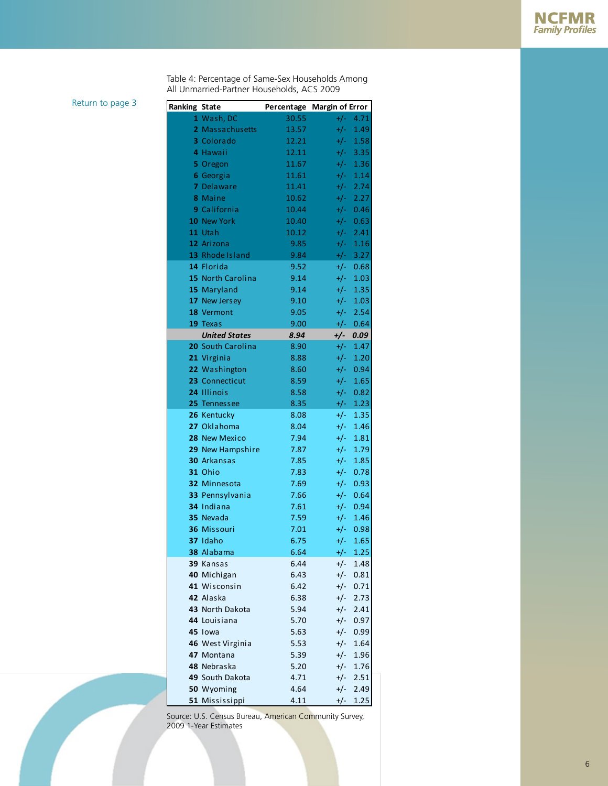Table 4: Percentage of Same-Sex Households Among All Unmarried-Partner Households, ACS 2009

<span id="page-5-0"></span>[Return to page 3](#page-2-0) **Ran** 

| Ranking State |                             | Percentage Margin of Error |                |              |
|---------------|-----------------------------|----------------------------|----------------|--------------|
|               | 1 Wash, DC                  | 30.55                      | $+/-$          | 4.71         |
|               | 2 Massachusetts             | 13.57                      | $+/-$          | 1.49         |
|               | 3 Colorado                  | 12.21                      | $+/-$          | 1.58         |
|               | 4 Hawaii                    | 12.11                      | $+/-$          | 3.35         |
|               | 5 Oregon                    | 11.67                      | $+/-$          | 1.36         |
|               | 6 Georgia                   | 11.61                      | $+/-$          | 1.14         |
|               | 7 Delaware                  | 11.41                      | $+/-$          | 2.74         |
|               | 8 Maine                     | 10.62                      | $+/-$          | 2.27         |
|               | 9 California                | 10.44                      | $+/-$          | 0.46         |
|               | 10 New York                 | 10.40                      | $+/-$          | 0.63         |
|               | 11 Utah                     | 10.12                      | $+/-$          | 2.41         |
|               | 12 Arizona                  | 9.85                       | $+/-$          | 1.16         |
|               | 13 Rhode Island             | 9.84                       | $+/-$          | 3.27         |
|               | 14 Florida                  | 9.52                       | $+/-$          | 0.68         |
|               | 15 North Carolina           | 9.14                       | $+/-$          | 1.03         |
|               | 15 Maryland                 | 9.14                       | $+/-$          | 1.35         |
|               | 17 New Jersey               | 9.10                       | $+/-$          | 1.03         |
|               | 18 Vermont                  | 9.05                       | $+/-$          | 2.54         |
|               | 19 Texas                    | 9.00                       | $+/-$          | 0.64         |
|               | <b>United States</b>        | 8.94                       | +/-            | 0.09         |
|               | 20 South Carolina           | 8.90                       | $+/-$          | 1.47         |
|               | 21 Virginia                 | 8.88                       | $+/-$          | 1.20         |
|               | 22 Washington               | 8.60                       | $+/-$          | 0.94         |
|               | 23 Connecticut              | 8.59                       | $+/-$          | 1.65         |
|               | 24 Illinois                 | 8.58                       | $+/-$          | 0.82         |
|               | 25 Tennessee                | 8.35                       | $+/-$          | 1.23         |
|               | 26 Kentucky                 | 8.08                       | $+/-$          | 1.35         |
|               | 27 Oklahoma                 | 8.04                       | $+/-$          | 1.46         |
|               | 28 New Mexico               | 7.94                       | $+/-$          | 1.81         |
|               | 29 New Hampshire            | 7.87                       | $+/-$          | 1.79         |
|               | <b>30 Arkansas</b>          | 7.85                       | $+/-$          | 1.85         |
|               | 31 Ohio                     | 7.83                       | $+/-$          | 0.78         |
|               | 32 Minnesota                | 7.69                       | $+/-$          | 0.93         |
|               | 33 Pennsylvania             | 7.66                       | $+/-$          | 0.64         |
|               | 34 Indiana                  | 7.61                       | $+/-$          | 0.94         |
|               | 35 Nevada                   | 7.59                       | $+/-$          | 1.46         |
|               | 36 Missouri                 | 7.01                       | $+/-$          | 0.98         |
|               | 37 Idaho                    | 6.75                       | $+/-$          | 1.65         |
|               | 38 Alabama                  | 6.64                       | $+/-$          | 1.25         |
|               | 39 Kansas                   | 6.44                       | $+/-$          | 1.48         |
|               | 40 Michigan<br>41 Wisconsin | 6.43                       | $+/-$          | 0.81         |
|               | 42 Alaska                   | 6.42                       | $+/-$          | 0.71         |
|               | 43 North Dakota             | 6.38<br>5.94               | $+/-$          | 2.73         |
|               | 44 Louisiana                |                            | $+/-$          | 2.41         |
|               | 45 lowa                     | 5.70<br>5.63               | $+/-$<br>$+/-$ | 0.97<br>0.99 |
|               | 46 West Virginia            | 5.53                       | $+/-$          | 1.64         |
|               | 47 Montana                  | 5.39                       | $+/-$          | 1.96         |
|               | 48 Nebraska                 | 5.20                       | $+/-$          | 1.76         |
|               | 49 South Dakota             | 4.71                       | $+/-$          | 2.51         |
|               | 50 Wyoming                  | 4.64                       | $+/-$          | 2.49         |
|               | 51 Mississippi              | 4.11                       | $+/-$          | 1.25         |

Source: U.S. Census Bureau, American Community Survey, 2009 1-Year Estimates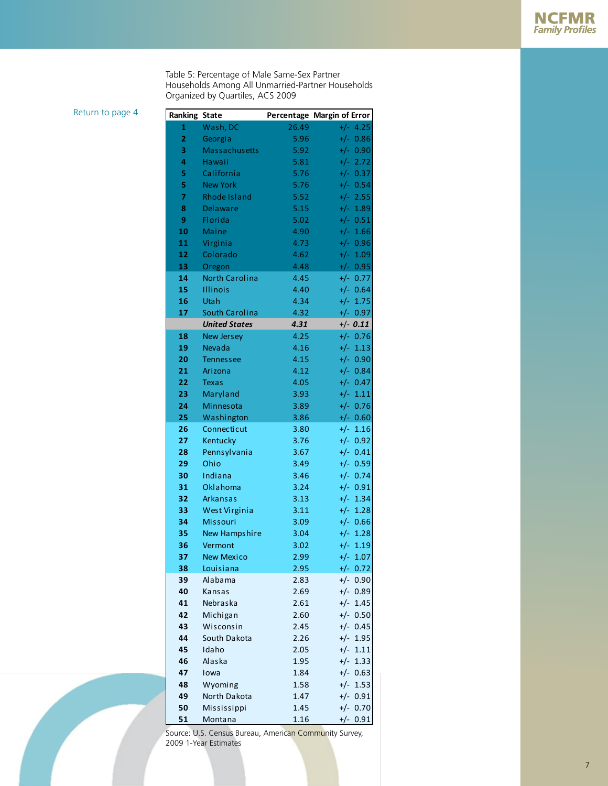Table 5: Percentage of Male Same-Sex Partner Households Among All Unmarried-Partner Households Organized by Quartiles, ACS 2009

<span id="page-6-0"></span>[Return to page 4](#page-3-0) **Ranking** 

| anking State   |                       |       | Percentage Margin of Error |
|----------------|-----------------------|-------|----------------------------|
| 1              | Wash, DC              | 26.49 | $+/- 4.25$                 |
| $\overline{2}$ | Georgia               | 5.96  | $+/- 0.86$                 |
| 3              | <b>Massachusetts</b>  | 5.92  | $+/- 0.90$                 |
| 4              | Hawaii                | 5.81  | $+/- 2.72$                 |
| 5              | California            | 5.76  | $+/- 0.37$                 |
| 5              | <b>New York</b>       | 5.76  | $+/- 0.54$                 |
| $\overline{7}$ | <b>Rhode Island</b>   | 5.52  | $+/- 2.55$                 |
| 8              | <b>Delaware</b>       | 5.15  | $+/-$<br>1.89              |
| 9              | Florida               | 5.02  | $+/- 0.51$                 |
| 10             | <b>Maine</b>          | 4.90  | $+/-$<br>1.66              |
| 11             | Virginia              | 4.73  | $+/-$<br>0.96              |
| 12             | Colorado              | 4.62  | $+/-$<br>1.09              |
| 13             | Oregon                | 4.48  | $+/- 0.95$                 |
| 14             | <b>North Carolina</b> | 4.45  | $+/-$<br>0.77              |
| 15             | <b>Illinois</b>       | 4.40  | $+/- 0.64$                 |
| 16             | Utah                  | 4.34  | $+/-$<br>1.75              |
| 17             | South Carolina        | 4.32  | +/- 0.97                   |
|                | <b>United States</b>  | 4.31  | $+/- 0.11$                 |
| 18             | <b>New Jersey</b>     | 4.25  | $+/- 0.76$                 |
| 19             | Nevada                | 4.16  | $+/- 1.13$                 |
| 20             | Tennessee             | 4.15  | $+/- 0.90$                 |
| 21             | Arizona               | 4.12  | $+/- 0.84$                 |
| 22             | <b>Texas</b>          | 4.05  | $+/- 0.47$                 |
| 23             | Maryland              | 3.93  | $+/- 1.11$                 |
| 24             | Minnesota             | 3.89  | $+/- 0.76$                 |
| 25             | Washington            | 3.86  | $+/- 0.60$                 |
| 26             | Connecticut           | 3.80  | $+/-$<br>1.16              |
| 27             | Kentucky              | 3.76  | $+/- 0.92$                 |
| 28             | Pennsylvania          | 3.67  | $+/- 0.41$                 |
| 29             | Ohio                  | 3.49  | $+/- 0.59$                 |
| 30             | Indiana               | 3.46  | $+/-$<br>0.74              |
| 31             | Oklahoma              | 3.24  | $+/-$<br>0.91              |
| 32             | Arkansas              | 3.13  | $+/-$<br>1.34              |
| 33             | West Virginia         | 3.11  | $+/-$<br>1.28              |
| 34             | <b>Missouri</b>       | 3.09  | $+/-$<br>0.66              |
| 35             | New Hampshire         | 3.04  | $+/-$<br>1.28              |
| 36             | Vermont               | 3.02  | $+/-$<br>1.19              |
| 37.            | New Mexico            | 2.99  | $+/- 1.07$                 |
| 38             | Louisiana             | 2.95  | $+/- 0.72$                 |
| 39             | Alabama               | 2.83  | $+/- 0.90$                 |
| 40             | Kansas                | 2.69  | $+/- 0.89$                 |
| 41             | Nebraska              | 2.61  | $+/-$<br>1.45              |
| 42             | Michigan              | 2.60  | $+/- 0.50$                 |
| 43             | Wisconsin             | 2.45  | $+/- 0.45$                 |
| 44             | South Dakota          | 2.26  | $+/-$<br>1.95              |
| 45             | Idaho                 | 2.05  | $+/-$<br>1.11              |
| 46             | Alaska                | 1.95  | $+/-$<br>1.33              |
| 47             | Iowa                  | 1.84  | $+/- 0.63$                 |
| 48             | Wyoming               | 1.58  | $+/-$<br>1.53              |
| 49             | North Dakota          | 1.47  | $+/-$<br>0.91              |
| 50             | Mississippi           | 1.45  | $+/-$<br>0.70              |
| 51             | Montana               | 1.16  | $+/- 0.91$                 |

Source: U.S. Census Bureau, American Community Survey, 2009 1-Year Estimates